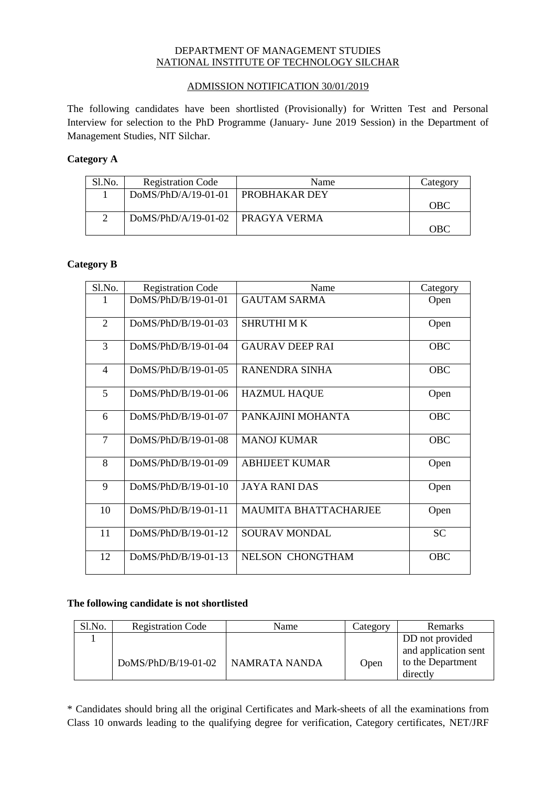## DEPARTMENT OF MANAGEMENT STUDIES NATIONAL INSTITUTE OF TECHNOLOGY SILCHAR

## ADMISSION NOTIFICATION 30/01/2019

The following candidates have been shortlisted (Provisionally) for Written Test and Personal Interview for selection to the PhD Programme (January- June 2019 Session) in the Department of Management Studies, NIT Silchar.

# **Category A**

| Sl.No. | <b>Registration Code</b>           | Name                   | Category   |
|--------|------------------------------------|------------------------|------------|
|        | $DoMS/PhD/A/19-01-01$              | <b>I PROBHAKAR DEY</b> |            |
|        |                                    |                        | <b>OBC</b> |
|        | DoMS/PhD/A/19-01-02   PRAGYA VERMA |                        |            |
|        |                                    |                        | OBC        |

## **Category B**

| Sl.No.         | <b>Registration Code</b> | Name                         | Category   |
|----------------|--------------------------|------------------------------|------------|
|                | $DoMS/PhD/B/19-01-01$    | <b>GAUTAM SARMA</b>          | Open       |
| $\overline{2}$ | $DoMS/PhD/B/19-01-03$    | <b>SHRUTHIMK</b>             | Open       |
| 3              | DoMS/PhD/B/19-01-04      | <b>GAURAV DEEP RAI</b>       | <b>OBC</b> |
| $\overline{4}$ | DoMS/PhD/B/19-01-05      | RANENDRA SINHA               | <b>OBC</b> |
| $\overline{5}$ | DoMS/PhD/B/19-01-06      | <b>HAZMUL HAQUE</b>          | Open       |
| 6              | DoMS/PhD/B/19-01-07      | PANKAJINI MOHANTA            | <b>OBC</b> |
| $\overline{7}$ | $DoMS/PhD/B/19-01-08$    | <b>MANOJ KUMAR</b>           | <b>OBC</b> |
| 8              | $DoMS/PhD/B/19-01-09$    | <b>ABHIJEET KUMAR</b>        | Open       |
| 9              | $DoMS/PhD/B/19-01-10$    | <b>JAYA RANI DAS</b>         | Open       |
| 10             | DoMS/PhD/B/19-01-11      | <b>MAUMITA BHATTACHARJEE</b> | Open       |
| 11             | DoMS/PhD/B/19-01-12      | <b>SOURAV MONDAL</b>         | <b>SC</b>  |
| 12             | DoMS/PhD/B/19-01-13      | <b>NELSON CHONGTHAM</b>      | <b>OBC</b> |

#### **The following candidate is not shortlisted**

| Sl.No. | <b>Registration Code</b> | Name          | Category | Remarks                                                                  |
|--------|--------------------------|---------------|----------|--------------------------------------------------------------------------|
|        | DoMS/PhD/B/19-01-02      | NAMRATA NANDA | Open     | DD not provided<br>and application sent<br>to the Department<br>directly |

\* Candidates should bring all the original Certificates and Mark-sheets of all the examinations from Class 10 onwards leading to the qualifying degree for verification, Category certificates, NET/JRF